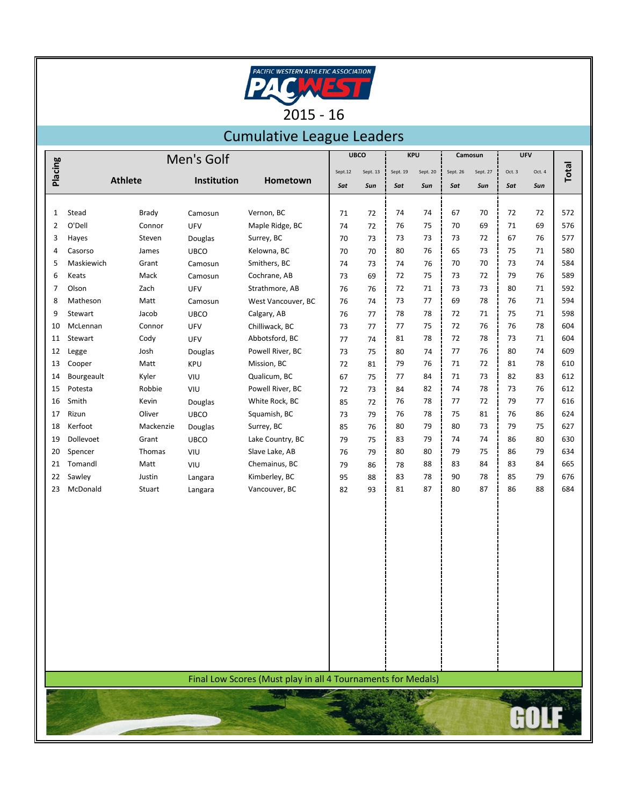

## Cumulative League Leaders

|                | Men's Golf |                |             |                                                              | <b>UBCO</b> |          | <b>KPU</b> |          | Camosun  |          | <b>UFV</b> |        |       |
|----------------|------------|----------------|-------------|--------------------------------------------------------------|-------------|----------|------------|----------|----------|----------|------------|--------|-------|
| Placing        |            |                |             |                                                              | Sept.12     | Sept. 13 | Sept. 19   | Sept. 20 | Sept. 26 | Sept. 27 | Oct. 3     | Oct. 4 | Total |
|                |            | <b>Athlete</b> | Institution | Hometown                                                     | Sat         | Sun      | Sat        | Sun      | Sat      | Sun      | Sat        | Sun    |       |
|                |            |                |             |                                                              |             |          |            |          |          |          |            |        |       |
| $\mathbf{1}$   | Stead      | Brady          | Camosun     | Vernon, BC                                                   | 71          | 72       | 74         | 74       | 67       | 70       | 72         | 72     | 572   |
| $\overline{2}$ | O'Dell     | Connor         | UFV         | Maple Ridge, BC                                              | 74          | 72       | 76         | 75       | 70       | 69       | 71         | 69     | 576   |
| 3              | Hayes      | Steven         | Douglas     | Surrey, BC                                                   | 70          | 73       | 73         | 73       | 73       | 72       | 67         | 76     | 577   |
| 4              | Casorso    | James          | <b>UBCO</b> | Kelowna, BC                                                  | 70          | 70       | 80         | 76       | 65       | 73       | 75         | 71     | 580   |
| 5              | Maskiewich | Grant          | Camosun     | Smithers, BC                                                 | 74          | 73       | 74         | 76       | 70       | 70       | 73         | 74     | 584   |
| 6              | Keats      | Mack           | Camosun     | Cochrane, AB                                                 | 73          | 69       | 72         | 75       | 73       | 72       | 79         | 76     | 589   |
| 7              | Olson      | Zach           | UFV         | Strathmore, AB                                               | 76          | 76       | 72         | 71       | 73       | 73       | 80         | 71     | 592   |
| 8              | Matheson   | Matt           | Camosun     | West Vancouver, BC                                           | 76          | 74       | 73         | 77       | 69       | 78       | 76         | 71     | 594   |
| 9              | Stewart    | Jacob          | <b>UBCO</b> | Calgary, AB                                                  | 76          | 77       | 78         | 78       | 72       | 71       | 75         | 71     | 598   |
| 10             | McLennan   | Connor         | UFV         | Chilliwack, BC                                               | 73          | 77       | 77         | 75       | 72       | 76       | 76         | 78     | 604   |
| 11             | Stewart    | Cody           | UFV         | Abbotsford, BC                                               | 77          | 74       | 81         | 78       | 72       | 78       | 73         | 71     | 604   |
| 12             | Legge      | Josh           | Douglas     | Powell River, BC                                             | 73          | 75       | 80         | 74       | 77       | 76       | 80         | 74     | 609   |
| 13             | Cooper     | Matt           | KPU         | Mission, BC                                                  | 72          | 81       | 79         | 76       | 71       | 72       | 81         | 78     | 610   |
| 14             | Bourgeault | Kyler          | VIU         | Qualicum, BC                                                 | 67          | 75       | 77         | 84       | 71       | 73       | 82         | 83     | 612   |
| 15             | Potesta    | Robbie         | VIU         | Powell River, BC                                             | 72          | 73       | 84         | 82       | 74       | 78       | 73         | 76     | 612   |
| 16             | Smith      | Kevin          | Douglas     | White Rock, BC                                               | 85          | 72       | 76         | 78       | 77       | 72       | 79         | 77     | 616   |
| 17             | Rizun      | Oliver         | <b>UBCO</b> | Squamish, BC                                                 | 73          | 79       | 76         | 78       | 75       | 81       | 76         | 86     | 624   |
| 18             | Kerfoot    | Mackenzie      | Douglas     | Surrey, BC                                                   | 85          | 76       | 80         | 79       | 80       | 73       | 79         | 75     | 627   |
| 19             | Dollevoet  | Grant          | <b>UBCO</b> | Lake Country, BC                                             | 79          | 75       | 83         | 79       | 74       | 74       | 86         | 80     | 630   |
| 20             | Spencer    | Thomas         | VIU         | Slave Lake, AB                                               | 76          | 79       | 80         | 80       | 79       | 75       | 86         | 79     | 634   |
| 21             | Tomandl    | Matt           | VIU         | Chemainus, BC                                                | 79          | 86       | 78         | 88       | 83       | 84       | 83         | 84     | 665   |
| 22             | Sawley     | Justin         | Langara     | Kimberley, BC                                                | 95          | 88       | 83         | 78       | 90       | 78       | 85         | 79     | 676   |
| 23             | McDonald   | Stuart         | Langara     | Vancouver, BC                                                | 82          | 93       | 81         | 87       | 80       | 87       | 86         | 88     | 684   |
|                |            |                |             |                                                              |             |          |            |          |          |          |            |        |       |
|                |            |                |             |                                                              |             |          |            |          |          |          |            |        |       |
|                |            |                |             |                                                              |             |          |            |          |          |          |            |        |       |
|                |            |                |             |                                                              |             |          |            |          |          |          |            |        |       |
|                |            |                |             |                                                              |             |          |            |          |          |          |            |        |       |
|                |            |                |             |                                                              |             |          |            |          |          |          |            |        |       |
|                |            |                |             |                                                              |             |          |            |          |          |          |            |        |       |
|                |            |                |             |                                                              |             |          |            |          |          |          |            |        |       |
|                |            |                |             |                                                              |             |          |            |          |          |          |            |        |       |
|                |            |                |             |                                                              |             |          |            |          |          |          |            |        |       |
|                |            |                |             |                                                              |             |          |            |          |          |          |            |        |       |
|                |            |                |             |                                                              |             |          |            |          |          |          |            |        |       |
|                |            |                |             |                                                              |             |          |            |          |          |          |            |        |       |
|                |            |                |             |                                                              |             |          |            |          |          |          |            |        |       |
|                |            |                |             | Final Low Scores (Must play in all 4 Tournaments for Medals) |             |          |            |          |          |          |            |        |       |
|                |            |                |             |                                                              |             |          |            |          |          |          |            |        |       |
|                |            |                |             |                                                              |             |          |            |          |          |          |            |        |       |
|                |            |                |             |                                                              |             |          |            |          |          |          |            |        |       |
|                |            |                |             |                                                              |             |          |            |          |          |          |            |        |       |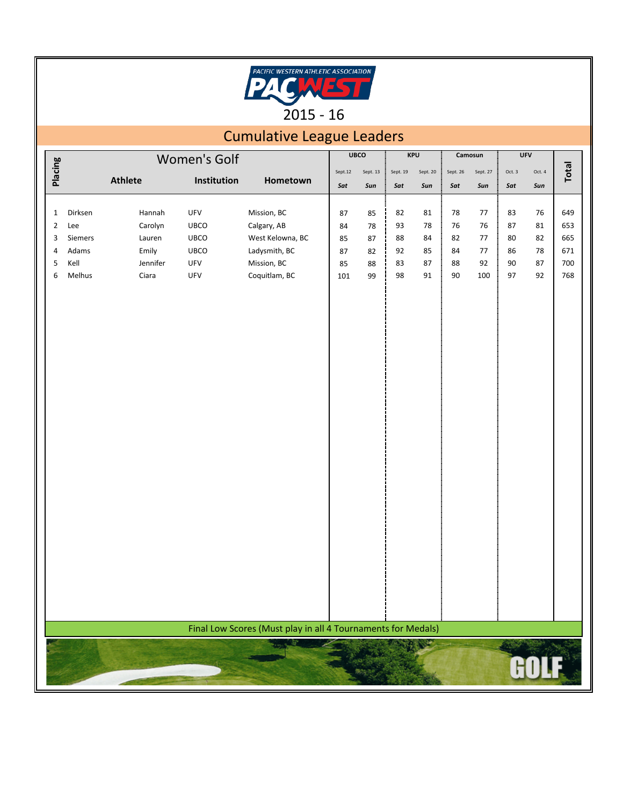

## Cumulative League Leaders

| Placing        |               | Women's Golf      |             |                                                              |         | KPU      |          | Camosun  |          | <b>UFV</b> |              |          |            |
|----------------|---------------|-------------------|-------------|--------------------------------------------------------------|---------|----------|----------|----------|----------|------------|--------------|----------|------------|
|                |               |                   |             |                                                              | Sept.12 | Sept. 13 | Sept. 19 | Sept. 20 | Sept. 26 | Sept. 27   | Oct. $3$     | Oct. 4   | Total      |
|                |               | Athlete           | Institution | Hometown                                                     | Sat     | Sun      | Sat      | Sun      | Sat      | Sun        | Sat          | Sun      |            |
|                |               |                   |             |                                                              |         |          |          |          |          |            |              |          |            |
| $\mathbf{1}$   | Dirksen       | Hannah            | UFV         | Mission, BC                                                  | 87      | 85       | 82       | 81       | 78       | 77         | 83           | 76       | 649        |
| $\overline{2}$ | Lee           | Carolyn           | UBCO        | Calgary, AB                                                  | 84      | 78       | 93       | 78       | 76       | 76         | $87\,$       | 81       | 653        |
| 3              | Siemers       | Lauren            | UBCO        | West Kelowna, BC                                             | 85      | 87       | 88       | 84       | 82       | 77         | 80           | 82       | 665        |
| 4              | Adams<br>Kell | Emily             | UBCO        | Ladysmith, BC                                                | 87      | 82       | 92       | 85       | 84       | 77         | 86           | 78       | 671        |
| 5<br>6         | Melhus        | Jennifer<br>Ciara | UFV<br>UFV  | Mission, BC<br>Coquitlam, BC                                 | 85      | 88       | 83<br>98 | 87<br>91 | 88<br>90 | 92<br>100  | $90\,$<br>97 | 87<br>92 | 700<br>768 |
|                |               |                   |             |                                                              | 101     | 99       |          |          |          |            |              |          |            |
|                |               |                   |             |                                                              |         |          |          |          |          |            |              |          |            |
|                |               |                   |             |                                                              |         |          |          |          |          |            |              |          |            |
|                |               |                   |             |                                                              |         |          |          |          |          |            |              |          |            |
|                |               |                   |             |                                                              |         |          |          |          |          |            |              |          |            |
|                |               |                   |             |                                                              |         |          |          |          |          |            |              |          |            |
|                |               |                   |             |                                                              |         |          |          |          |          |            |              |          |            |
|                |               |                   |             |                                                              |         |          |          |          |          |            |              |          |            |
|                |               |                   |             |                                                              |         |          |          |          |          |            |              |          |            |
|                |               |                   |             |                                                              |         |          |          |          |          |            |              |          |            |
|                |               |                   |             |                                                              |         |          |          |          |          |            |              |          |            |
|                |               |                   |             |                                                              |         |          |          |          |          |            |              |          |            |
|                |               |                   |             |                                                              |         |          |          |          |          |            |              |          |            |
|                |               |                   |             |                                                              |         |          |          |          |          |            |              |          |            |
|                |               |                   |             |                                                              |         |          |          |          |          |            |              |          |            |
|                |               |                   |             |                                                              |         |          |          |          |          |            |              |          |            |
|                |               |                   |             |                                                              |         |          |          |          |          |            |              |          |            |
|                |               |                   |             |                                                              |         |          |          |          |          |            |              |          |            |
|                |               |                   |             |                                                              |         |          |          |          |          |            |              |          |            |
|                |               |                   |             |                                                              |         |          |          |          |          |            |              |          |            |
|                |               |                   |             |                                                              |         |          |          |          |          |            |              |          |            |
|                |               |                   |             |                                                              |         |          |          |          |          |            |              |          |            |
|                |               |                   |             |                                                              |         |          |          |          |          |            |              |          |            |
|                |               |                   |             |                                                              |         |          |          |          |          |            |              |          |            |
|                |               |                   |             |                                                              |         |          |          |          |          |            |              |          |            |
|                |               |                   |             |                                                              |         |          |          |          |          |            |              |          |            |
|                |               |                   |             |                                                              |         |          |          |          |          |            |              |          |            |
|                |               |                   |             |                                                              |         |          |          |          |          |            |              |          |            |
|                |               |                   |             | Final Low Scores (Must play in all 4 Tournaments for Medals) |         |          |          |          |          |            |              |          |            |
|                |               |                   |             | <b>CAP</b><br>يردد                                           |         |          |          |          |          |            | <b>TAIR</b>  |          |            |
|                |               |                   |             |                                                              |         |          |          |          |          |            |              |          |            |
|                |               |                   |             |                                                              |         |          |          |          |          |            |              |          |            |
|                |               |                   |             |                                                              |         |          |          |          |          |            |              |          |            |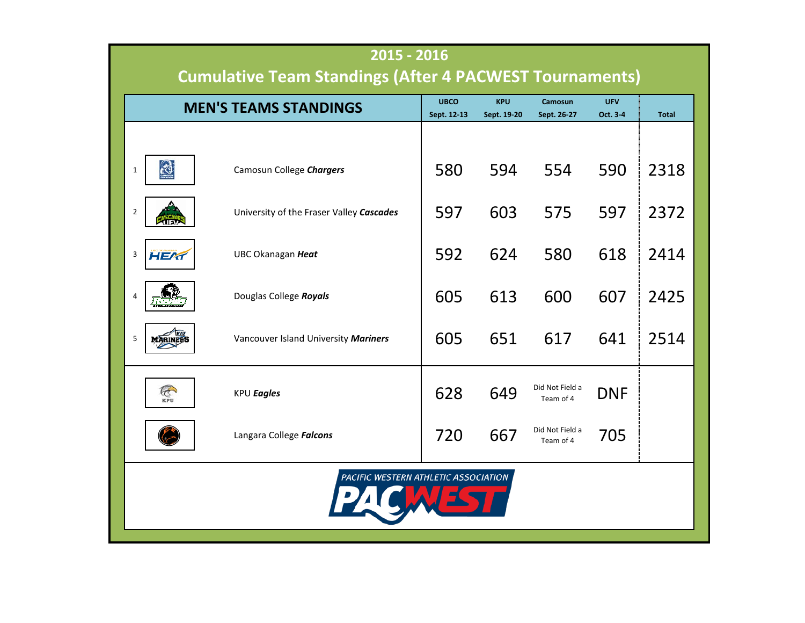| 2015 - 2016<br><b>Cumulative Team Standings (After 4 PACWEST Tournaments)</b> |                |                                          |             |             |                              |            |              |  |  |  |
|-------------------------------------------------------------------------------|----------------|------------------------------------------|-------------|-------------|------------------------------|------------|--------------|--|--|--|
|                                                                               |                |                                          | <b>UBCO</b> | <b>KPU</b>  | Camosun                      | <b>UFV</b> |              |  |  |  |
|                                                                               |                | <b>MEN'S TEAMS STANDINGS</b>             | Sept. 12-13 | Sept. 19-20 | Sept. 26-27                  | Oct. 3-4   | <b>Total</b> |  |  |  |
|                                                                               |                |                                          |             |             |                              |            |              |  |  |  |
| $\mathbf{1}$                                                                  | ಸ              | Camosun College Chargers                 | 580         | 594         | 554                          | 590        | 2318         |  |  |  |
| $\overline{2}$                                                                |                | University of the Fraser Valley Cascades | 597         | 603         | 575                          | 597        | 2372         |  |  |  |
| 3                                                                             | <b>HEAT</b>    | UBC Okanagan Heat                        | 592         | 624         | 580                          | 618        | 2414         |  |  |  |
|                                                                               |                | Douglas College Royals                   | 605         | 613         | 600                          | 607        | 2425         |  |  |  |
| 5                                                                             | MARINER        | Vancouver Island University Mariners     | 605         | 651         | 617                          | 641        | 2514         |  |  |  |
|                                                                               | <b>CONTROL</b> | KPU Eagles                               | 628         | 649         | Did Not Field a<br>Team of 4 | <b>DNF</b> |              |  |  |  |
|                                                                               |                | Langara College Falcons                  | 720         | 667         | Did Not Field a<br>Team of 4 | 705        |              |  |  |  |
| PACIFIC WESTERN ATHLETIC ASSOCIATION                                          |                |                                          |             |             |                              |            |              |  |  |  |